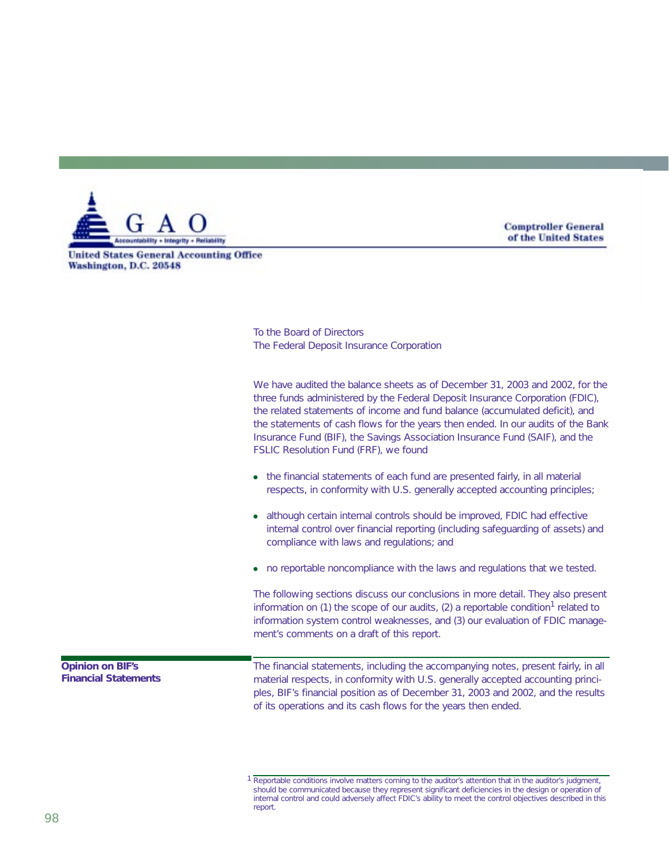

**Comptroller General** of the United States

**United States General Accounting Office** Washington, D.C. 20548

> To the Board of Directors The Federal Deposit Insurance Corporation

We have audited the balance sheets as of December 31, 2003 and 2002, for the three funds administered by the Federal Deposit Insurance Corporation (FDIC), the related statements of income and fund balance (accumulated deficit), and the statements of cash flows for the years then ended. In our audits of the Bank Insurance Fund (BIF), the Savings Association Insurance Fund (SAIF), and the FSLIC Resolution Fund (FRF), we found

- the financial statements of each fund are presented fairly, in all material respects, in conformity with U.S. generally accepted accounting principles;
- although certain internal controls should be improved, FDIC had effective internal control over financial reporting (including safeguarding of assets) and compliance with laws and regulations; and
- no reportable noncompliance with the laws and regulations that we tested.

The following sections discuss our conclusions in more detail. They also present information on (1) the scope of our audits, (2) a reportable condition<sup>1</sup> related to information system control weaknesses, and (3) our evaluation of FDIC management's comments on a draft of this report.

**Opinion on BIF's Financial Statements** The financial statements, including the accompanying notes, present fairly, in all material respects, in conformity with U.S. generally accepted accounting principles, BIF's financial position as of December 31, 2003 and 2002, and the results of its operations and its cash flows for the years then ended.

<sup>1</sup> Reportable conditions involve matters coming to the auditor's attention that in the auditor's judgment, should be communicated because they represent significant deficiencies in the design or operation of internal control and could adversely affect FDIC's ability to meet the control objectives described in this report.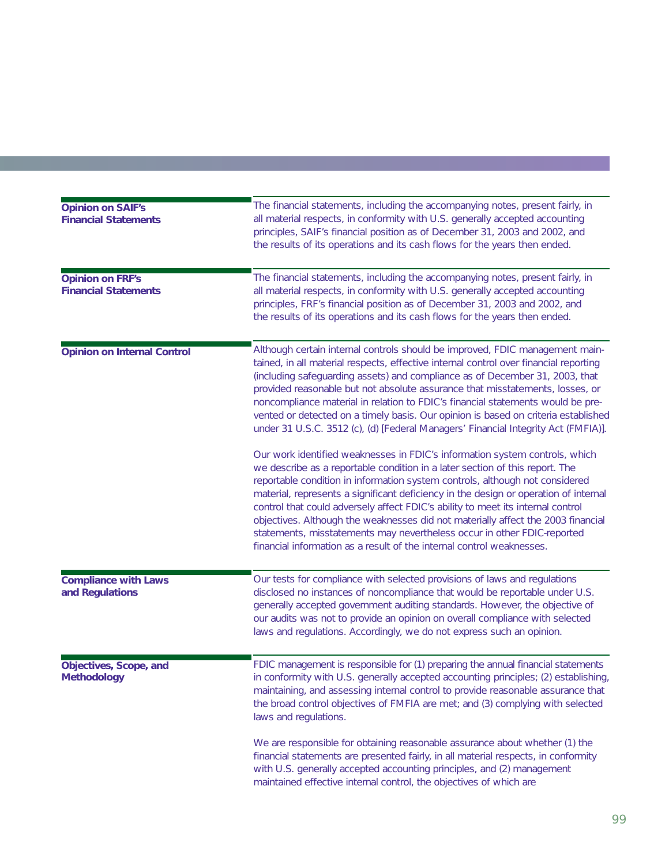| <b>Opinion on SAIF's</b><br><b>Financial Statements</b> | The financial statements, including the accompanying notes, present fairly, in<br>all material respects, in conformity with U.S. generally accepted accounting<br>principles, SAIF's financial position as of December 31, 2003 and 2002, and<br>the results of its operations and its cash flows for the years then ended.                                                                                                                                                                                                                                                                                                                                                                                                                                                                                                                                                                                                                                                                                                                                                                                                                                                                                                                                             |
|---------------------------------------------------------|-------------------------------------------------------------------------------------------------------------------------------------------------------------------------------------------------------------------------------------------------------------------------------------------------------------------------------------------------------------------------------------------------------------------------------------------------------------------------------------------------------------------------------------------------------------------------------------------------------------------------------------------------------------------------------------------------------------------------------------------------------------------------------------------------------------------------------------------------------------------------------------------------------------------------------------------------------------------------------------------------------------------------------------------------------------------------------------------------------------------------------------------------------------------------------------------------------------------------------------------------------------------------|
| <b>Opinion on FRF's</b><br><b>Financial Statements</b>  | The financial statements, including the accompanying notes, present fairly, in<br>all material respects, in conformity with U.S. generally accepted accounting<br>principles, FRF's financial position as of December 31, 2003 and 2002, and<br>the results of its operations and its cash flows for the years then ended.                                                                                                                                                                                                                                                                                                                                                                                                                                                                                                                                                                                                                                                                                                                                                                                                                                                                                                                                              |
| <b>Opinion on Internal Control</b>                      | Although certain internal controls should be improved, FDIC management main-<br>tained, in all material respects, effective internal control over financial reporting<br>(including safeguarding assets) and compliance as of December 31, 2003, that<br>provided reasonable but not absolute assurance that misstatements, losses, or<br>noncompliance material in relation to FDIC's financial statements would be pre-<br>vented or detected on a timely basis. Our opinion is based on criteria established<br>under 31 U.S.C. 3512 (c), (d) [Federal Managers' Financial Integrity Act (FMFIA)].<br>Our work identified weaknesses in FDIC's information system controls, which<br>we describe as a reportable condition in a later section of this report. The<br>reportable condition in information system controls, although not considered<br>material, represents a significant deficiency in the design or operation of internal<br>control that could adversely affect FDIC's ability to meet its internal control<br>objectives. Although the weaknesses did not materially affect the 2003 financial<br>statements, misstatements may nevertheless occur in other FDIC-reported<br>financial information as a result of the internal control weaknesses. |
| <b>Compliance with Laws</b><br>and Regulations          | Our tests for compliance with selected provisions of laws and regulations<br>disclosed no instances of noncompliance that would be reportable under U.S.<br>generally accepted government auditing standards. However, the objective of<br>our audits was not to provide an opinion on overall compliance with selected<br>laws and regulations. Accordingly, we do not express such an opinion.                                                                                                                                                                                                                                                                                                                                                                                                                                                                                                                                                                                                                                                                                                                                                                                                                                                                        |
| Objectives, Scope, and<br><b>Methodology</b>            | FDIC management is responsible for (1) preparing the annual financial statements<br>in conformity with U.S. generally accepted accounting principles; (2) establishing,<br>maintaining, and assessing internal control to provide reasonable assurance that<br>the broad control objectives of FMFIA are met; and (3) complying with selected<br>laws and regulations.                                                                                                                                                                                                                                                                                                                                                                                                                                                                                                                                                                                                                                                                                                                                                                                                                                                                                                  |
|                                                         | We are responsible for obtaining reasonable assurance about whether (1) the<br>financial statements are presented fairly, in all material respects, in conformity<br>with U.S. generally accepted accounting principles, and (2) management<br>maintained effective internal control, the objectives of which are                                                                                                                                                                                                                                                                                                                                                                                                                                                                                                                                                                                                                                                                                                                                                                                                                                                                                                                                                       |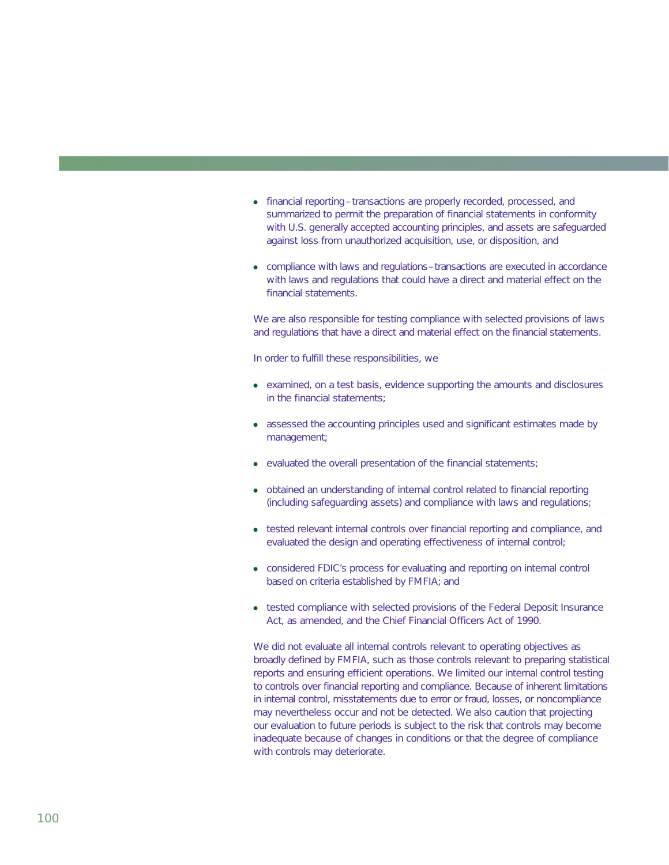- financial reporting transactions are properly recorded, processed, and summarized to permit the preparation of financial statements in conformity with U.S. generally accepted accounting principles, and assets are safeguarded against loss from unauthorized acquisition, use, or disposition, and
- compliance with laws and regulations–transactions are executed in accordance with laws and regulations that could have a direct and material effect on the financial statements.

We are also responsible for testing compliance with selected provisions of laws and regulations that have a direct and material effect on the financial statements.

In order to fulfill these responsibilities, we

- examined, on a test basis, evidence supporting the amounts and disclosures in the financial statements;
- assessed the accounting principles used and significant estimates made by management;
- evaluated the overall presentation of the financial statements;
- obtained an understanding of internal control related to financial reporting (including safeguarding assets) and compliance with laws and regulations;
- tested relevant internal controls over financial reporting and compliance, and evaluated the design and operating effectiveness of internal control;
- considered FDIC's process for evaluating and reporting on internal control based on criteria established by FMFIA; and
- tested compliance with selected provisions of the Federal Deposit Insurance Act, as amended, and the Chief Financial Officers Act of 1990.

We did not evaluate all internal controls relevant to operating objectives as broadly defined by FMFIA, such as those controls relevant to preparing statistical reports and ensuring efficient operations. We limited our internal control testing to controls over financial reporting and compliance. Because of inherent limitations in internal control, misstatements due to error or fraud, losses, or noncompliance may nevertheless occur and not be detected. We also caution that projecting our evaluation to future periods is subject to the risk that controls may become inadequate because of changes in conditions or that the degree of compliance with controls may deteriorate.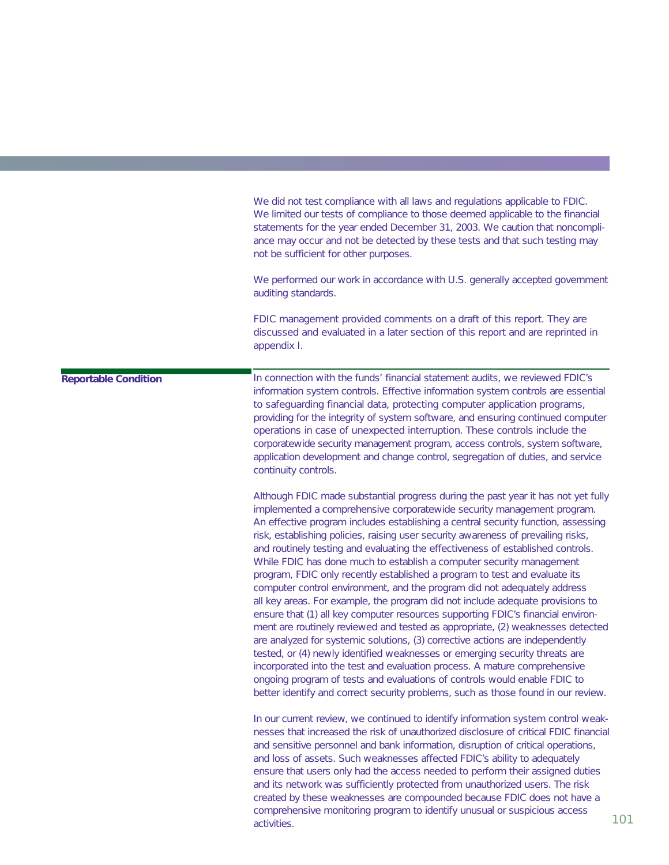We did not test compliance with all laws and regulations applicable to FDIC. We limited our tests of compliance to those deemed applicable to the financial statements for the year ended December 31, 2003. We caution that noncompliance may occur and not be detected by these tests and that such testing may not be sufficient for other purposes.

We performed our work in accordance with U.S. generally accepted government auditing standards.

FDIC management provided comments on a draft of this report. They are discussed and evaluated in a later section of this report and are reprinted in appendix I.

## **Reportable Condition**

In connection with the funds' financial statement audits, we reviewed FDIC's information system controls. Effective information system controls are essential to safeguarding financial data, protecting computer application programs, providing for the integrity of system software, and ensuring continued computer operations in case of unexpected interruption. These controls include the corporatewide security management program, access controls, system software, application development and change control, segregation of duties, and service continuity controls.

Although FDIC made substantial progress during the past year it has not yet fully implemented a comprehensive corporatewide security management program. An effective program includes establishing a central security function, assessing risk, establishing policies, raising user security awareness of prevailing risks, and routinely testing and evaluating the effectiveness of established controls. While FDIC has done much to establish a computer security management program, FDIC only recently established a program to test and evaluate its computer control environment, and the program did not adequately address all key areas. For example, the program did not include adequate provisions to ensure that (1) all key computer resources supporting FDIC's financial environment are routinely reviewed and tested as appropriate, (2) weaknesses detected are analyzed for systemic solutions, (3) corrective actions are independently tested, or (4) newly identified weaknesses or emerging security threats are incorporated into the test and evaluation process. A mature comprehensive ongoing program of tests and evaluations of controls would enable FDIC to better identify and correct security problems, such as those found in our review.

In our current review, we continued to identify information system control weaknesses that increased the risk of unauthorized disclosure of critical FDIC financial and sensitive personnel and bank information, disruption of critical operations, and loss of assets. Such weaknesses affected FDIC's ability to adequately ensure that users only had the access needed to perform their assigned duties and its network was sufficiently protected from unauthorized users. The risk created by these weaknesses are compounded because FDIC does not have a comprehensive monitoring program to identify unusual or suspicious access activities.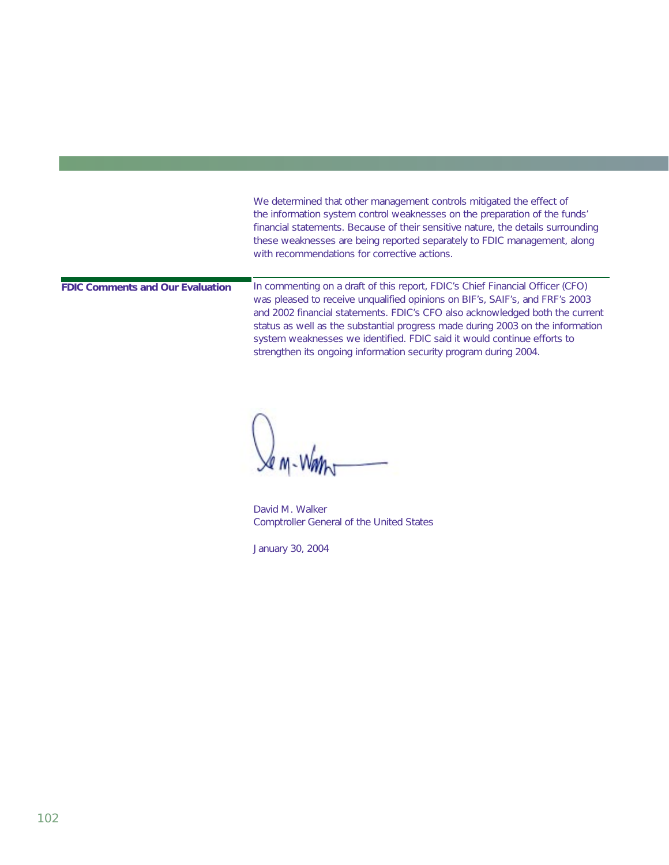We determined that other management controls mitigated the effect of the information system control weaknesses on the preparation of the funds' financial statements. Because of their sensitive nature, the details surrounding these weaknesses are being reported separately to FDIC management, along with recommendations for corrective actions.

**FDIC Comments and Our Evaluation**

In commenting on a draft of this report, FDIC's Chief Financial Officer (CFO) was pleased to receive unqualified opinions on BIF's, SAIF's, and FRF's 2003 and 2002 financial statements. FDIC's CFO also acknowledged both the current status as well as the substantial progress made during 2003 on the information system weaknesses we identified. FDIC said it would continue efforts to strengthen its ongoing information security program during 2004.

David M. Walker Comptroller General of the United States

January 30, 2004